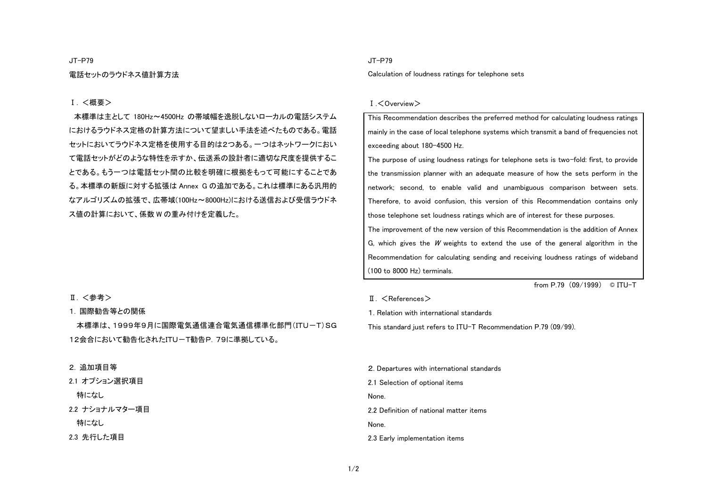JT-P79

電話セットのラウドネス値計算方法

### Ⅰ. <概要>

 本標準は主として 180Hz~4500Hz の帯域幅を逸脱しないローカルの電話システム におけるラウドネス定格の計算方法について望ましい手法を述べたものである。電話セットにおいてラウドネス定格を使用する目的は2つある。一つはネットワークにおいて電話セットがどのような特性を示すか、伝送系の設計者に適切な尺度を提供するこ とである。もう一つは電話セット間の比較を明確に根拠をもって可能にすることである。本標準の新版に対する拡張は Annex G の追加である。これは標準にある汎用的 なアルゴリズムの拡張で、広帯域(100Hz~8000Hz)における送信および受信ラウドネ ス値の計算において、係数 W の重み付けを定義した。

### Ⅱ. <参考>

### 1. 国際勧告等との関係

本標準は、1999年9月に国際電気通信連合電気通信標準化部門(ITU-T)SG 12会合において勧告化されたITU-T勧告P.79に準拠している。

### 2. 追加項目等

| 2.1 オプション選択項目  |  |
|----------------|--|
| 特になし           |  |
| 2.2 ナショナルマター項目 |  |
| 特になし           |  |
| 2.3 先行した項目     |  |

### JT-P79

Calculation of loudness ratings for telephone sets

#### Ⅰ.<Overview>

This Recommendation describes the preferred method for calculating loudness ratings mainly in the case of local telephone systems which transmit a band of frequencies not exceeding about 180-4500 Hz.

The purpose of using loudness ratings for telephone sets is two-fold: first, to provide the transmission planner with an adequate measure of how the sets perform in the network; second, to enable valid and unambiguous comparison between sets. Therefore, to avoid confusion, this version of this Recommendation contains only those telephone set loudness ratings which are of interest for these purposes. The improvement of the new version of this Recommendation is the addition of Annex

G, which gives the  $W$  weights to extend the use of the general algorithm in the Recommendation for calculating sending and receiving loudness ratings of wideband (100 to 8000 Hz) terminals.

from P.79 (09/1999) © ITU-T

### $II. <$ References $>$

1. Relation with international standards

This standard just refers to ITU-T Recommendation P.79 (09/99).

2. Departures with international standards 2.1 Selection of optional items None. 2.2 Definition of national matter items None. 2.3 Early implementation items